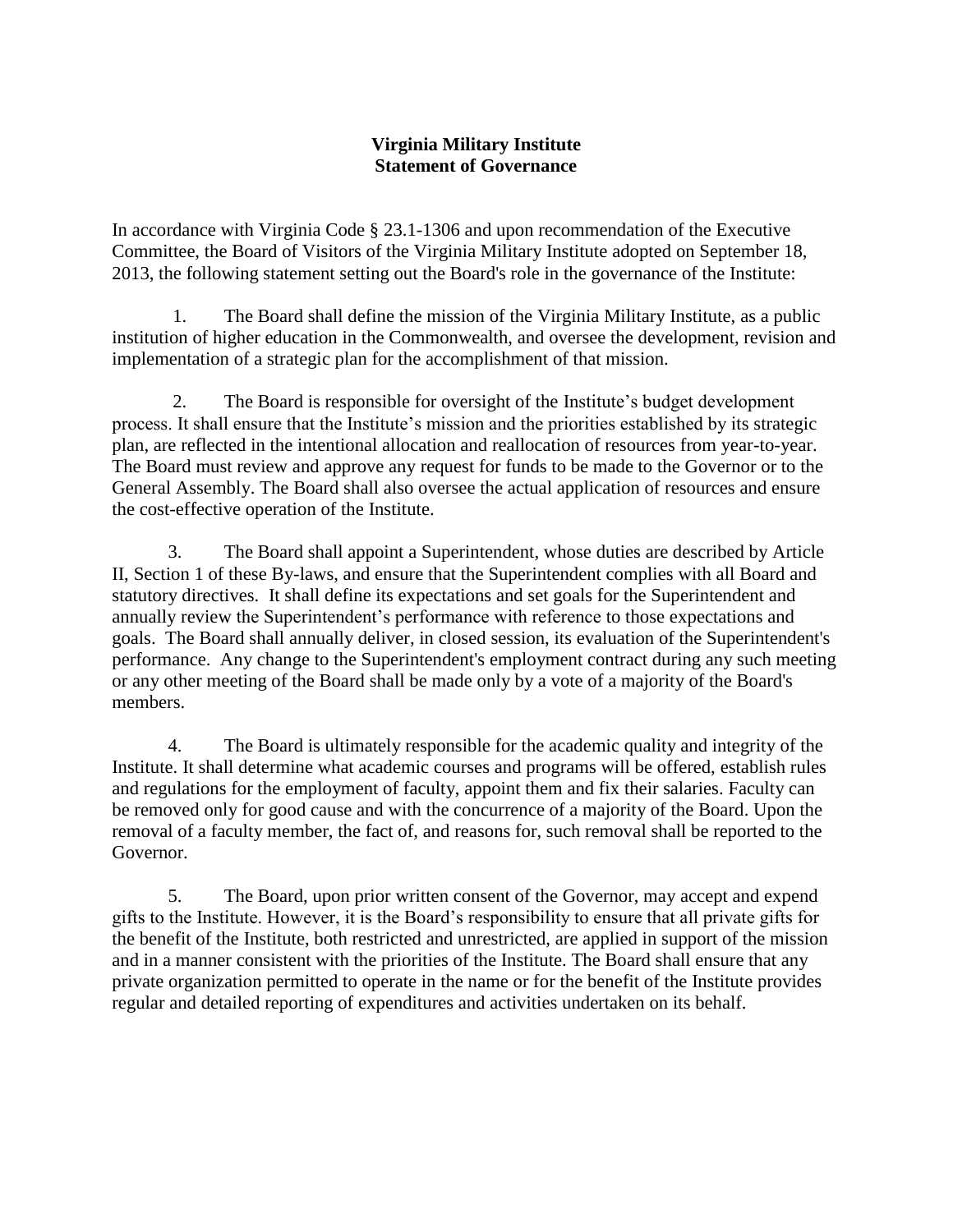## **Virginia Military Institute Statement of Governance**

In accordance with Virginia Code § 23.1-1306 and upon recommendation of the Executive Committee, the Board of Visitors of the Virginia Military Institute adopted on September 18, 2013, the following statement setting out the Board's role in the governance of the Institute:

1. The Board shall define the mission of the Virginia Military Institute, as a public institution of higher education in the Commonwealth, and oversee the development, revision and implementation of a strategic plan for the accomplishment of that mission.

2. The Board is responsible for oversight of the Institute's budget development process. It shall ensure that the Institute's mission and the priorities established by its strategic plan, are reflected in the intentional allocation and reallocation of resources from year-to-year. The Board must review and approve any request for funds to be made to the Governor or to the General Assembly. The Board shall also oversee the actual application of resources and ensure the cost-effective operation of the Institute.

3. The Board shall appoint a Superintendent, whose duties are described by Article II, Section 1 of these By-laws, and ensure that the Superintendent complies with all Board and statutory directives. It shall define its expectations and set goals for the Superintendent and annually review the Superintendent's performance with reference to those expectations and goals. The Board shall annually deliver, in closed session, its evaluation of the Superintendent's performance. Any change to the Superintendent's employment contract during any such meeting or any other meeting of the Board shall be made only by a vote of a majority of the Board's members.

4. The Board is ultimately responsible for the academic quality and integrity of the Institute. It shall determine what academic courses and programs will be offered, establish rules and regulations for the employment of faculty, appoint them and fix their salaries. Faculty can be removed only for good cause and with the concurrence of a majority of the Board. Upon the removal of a faculty member, the fact of, and reasons for, such removal shall be reported to the Governor.

5. The Board, upon prior written consent of the Governor, may accept and expend gifts to the Institute. However, it is the Board's responsibility to ensure that all private gifts for the benefit of the Institute, both restricted and unrestricted, are applied in support of the mission and in a manner consistent with the priorities of the Institute. The Board shall ensure that any private organization permitted to operate in the name or for the benefit of the Institute provides regular and detailed reporting of expenditures and activities undertaken on its behalf.